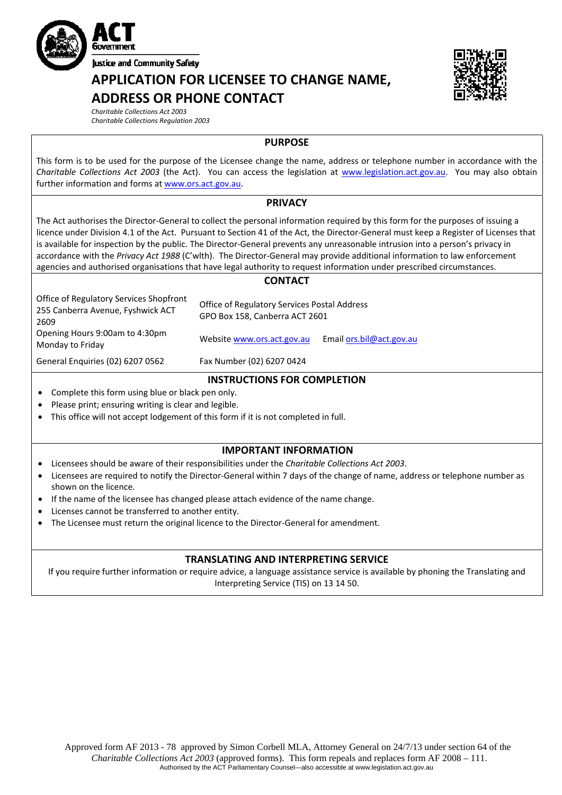

**Iustice and Community Safety** 

# **APPLICATION FOR LICENSEE TO CHANGE NAME, ADDRESS OR PHONE CONTACT**



*Charitable Collections Act 2003*

*Charitable Collections Regulation 2003*

**PURPOSE** 

This form is to be used for the purpose of the Licensee change the name, address or telephone number in accordance with the *Charitable Collections Act 2003* (the Act). You can access the legislation at [www.legislation.act.gov.au](http://www.legislation.act.gov.au/). You may also obtain further information and forms at [www.ors.act.gov.au](http://www.ors.act.gov.au/).

### **PRIVACY**

The Act authorises the Director‐General to collect the personal information required by this form for the purposes of issuing a licence under Division 4.1 of the Act. Pursuant to Section 41 of the Act, the Director‐General must keep a Register of Licenses that is available for inspection by the public. The Director‐General prevents any unreasonable intrusion into a person's privacy in accordance with the *Privacy Act 1988* (C'wlth). The Director‐General may provide additional information to law enforcement agencies and authorised organisations that have legal authority to request information under prescribed circumstances.

#### **CONTACT**

| Office of Regulatory Services Shopfront<br>255 Canberra Avenue, Fyshwick ACT<br>2609 | Office of Regulatory Services Postal Address<br>GPO Box 158, Canberra ACT 2601 |                            |  |
|--------------------------------------------------------------------------------------|--------------------------------------------------------------------------------|----------------------------|--|
| Opening Hours 9:00am to 4:30pm<br>Monday to Friday                                   | Website www.ors.act.gov.au                                                     | Email $ors.bil@act.gov.au$ |  |
| General Enquiries (02) 6207 0562                                                     | Fax Number (02) 6207 0424                                                      |                            |  |

### **INSTRUCTIONS FOR COMPLETION**

- Complete this form using blue or black pen only.
- Please print; ensuring writing is clear and legible.
- This office will not accept lodgement of this form if it is not completed in full.

## **IMPORTANT INFORMATION**

- Licensees should be aware of their responsibilities under the *Charitable Collections Act 2003*.
- Licensees are required to notify the Director‐General within 7 days of the change of name, address or telephone number as shown on the licence.
- If the name of the licensee has changed please attach evidence of the name change.
- Licenses cannot be transferred to another entity.
- The Licensee must return the original licence to the Director‐General for amendment.

## **TRANSLATING AND INTERPRETING SERVICE**

If you require further information or require advice, a language assistance service is available by phoning the Translating and Interpreting Service (TIS) on 13 14 50.